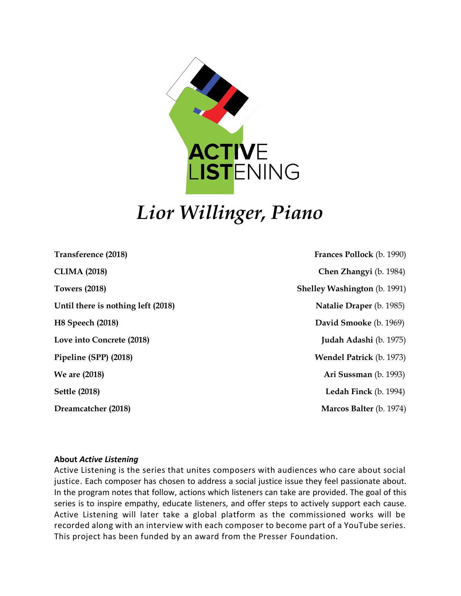

# *Lior Willinger, Piano*

**Transference (2018) Frances Pollock** (b. 1990) **CLIMA (2018) Chen Zhangyi** (b. 1984) **Towers (2018) Shelley Washington** (b. 1991) Until there is nothing left (2018) Natalie Draper (b. 1985) **H8 Speech (2018)** David Smooke (b. 1969) **Love into Concrete (2018) Judah Adashi** (b. 1975) **Pipeline (SPP) (2018) Wendel Patrick** (b. 1973) **We are (2018) Ari Sussman** (b. 1993) **Settle (2018) Ledah Finck** (b. 1994) **Dreamcatcher (2018) Marcos Balter (b. 1974) Marcos Balter (b. 1974)** 

#### **About** *Active Listening*

Active Listening is the series that unites composers with audiences who care about social justice. Each composer has chosen to address a social justice issue they feel passionate about. In the program notes that follow, actions which listeners can take are provided. The goal of this series is to inspire empathy, educate listeners, and offer steps to actively support each cause. Active Listening will later take a global platform as the commissioned works will be recorded along with an interview with each composer to become part of a YouTube series. This project has been funded by an award from the Presser Foundation.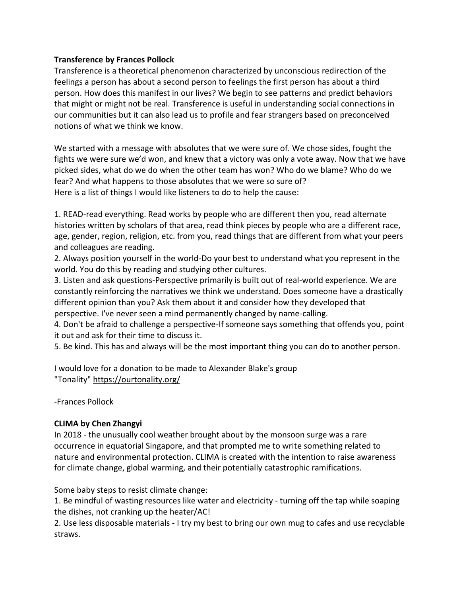## **Transference by Frances Pollock**

Transference is a theoretical phenomenon characterized by unconscious redirection of the feelings a person has about a second person to feelings the first person has about a third person. How does this manifest in our lives? We begin to see patterns and predict behaviors that might or might not be real. Transference is useful in understanding social connections in our communities but it can also lead us to profile and fear strangers based on preconceived notions of what we think we know.

We started with a message with absolutes that we were sure of. We chose sides, fought the fights we were sure we'd won, and knew that a victory was only a vote away. Now that we have picked sides, what do we do when the other team has won? Who do we blame? Who do we fear? And what happens to those absolutes that we were so sure of? Here is a list of things I would like listeners to do to help the cause:

1. READ-read everything. Read works by people who are different then you, read alternate histories written by scholars of that area, read think pieces by people who are a different race, age, gender, region, religion, etc. from you, read things that are different from what your peers and colleagues are reading.

2. Always position yourself in the world-Do your best to understand what you represent in the world. You do this by reading and studying other cultures.

3. Listen and ask questions-Perspective primarily is built out of real-world experience. We are constantly reinforcing the narratives we think we understand. Does someone have a drastically different opinion than you? Ask them about it and consider how they developed that perspective. I've never seen a mind permanently changed by name-calling.

4. Don't be afraid to challenge a perspective-If someone says something that offends you, point it out and ask for their time to discuss it.

5. Be kind. This has and always will be the most important thing you can do to another person.

I would love for a donation to be made to Alexander Blake's group "Tonality" <https://ourtonality.org/>

-Frances Pollock

# **CLIMA by Chen Zhangyi**

In 2018 - the unusually cool weather brought about by the monsoon surge was a rare occurrence in equatorial Singapore, and that prompted me to write something related to nature and environmental protection. CLIMA is created with the intention to raise awareness for climate change, global warming, and their potentially catastrophic ramifications.

Some baby steps to resist climate change:

1. Be mindful of wasting resources like water and electricity - turning off the tap while soaping the dishes, not cranking up the heater/AC!

2. Use less disposable materials - I try my best to bring our own mug to cafes and use recyclable straws.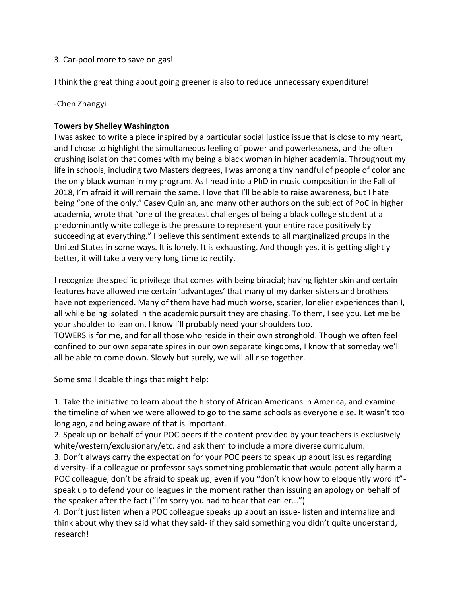#### 3. Car-pool more to save on gas!

I think the great thing about going greener is also to reduce unnecessary expenditure!

## -Chen Zhangyi

## **Towers by Shelley Washington**

I was asked to write a piece inspired by a particular social justice issue that is close to my heart, and I chose to highlight the simultaneous feeling of power and powerlessness, and the often crushing isolation that comes with my being a black woman in higher academia. Throughout my life in schools, including two Masters degrees, I was among a tiny handful of people of color and the only black woman in my program. As I head into a PhD in music composition in the Fall of 2018, I'm afraid it will remain the same. I love that I'll be able to raise awareness, but I hate being "one of the only." Casey Quinlan, and many other authors on the subject of PoC in higher academia, wrote that "one of the greatest challenges of being a black college student at a predominantly white college is the pressure to represent your entire race positively by succeeding at everything." I believe this sentiment extends to all marginalized groups in the United States in some ways. It is lonely. It is exhausting. And though yes, it is getting slightly better, it will take a very very long time to rectify.

I recognize the specific privilege that comes with being biracial; having lighter skin and certain features have allowed me certain 'advantages' that many of my darker sisters and brothers have not experienced. Many of them have had much worse, scarier, lonelier experiences than I, all while being isolated in the academic pursuit they are chasing. To them, I see you. Let me be your shoulder to lean on. I know I'll probably need your shoulders too. TOWERS is for me, and for all those who reside in their own stronghold. Though we often feel confined to our own separate spires in our own separate kingdoms, I know that someday we'll

Some small doable things that might help:

all be able to come down. Slowly but surely, we will all rise together.

1. Take the initiative to learn about the history of African Americans in America, and examine the timeline of when we were allowed to go to the same schools as everyone else. It wasn't too long ago, and being aware of that is important.

2. Speak up on behalf of your POC peers if the content provided by your teachers is exclusively white/western/exclusionary/etc. and ask them to include a more diverse curriculum.

3. Don't always carry the expectation for your POC peers to speak up about issues regarding diversity- if a colleague or professor says something problematic that would potentially harm a POC colleague, don't be afraid to speak up, even if you "don't know how to eloquently word it" speak up to defend your colleagues in the moment rather than issuing an apology on behalf of the speaker after the fact ("I'm sorry you had to hear that earlier...")

4. Don't just listen when a POC colleague speaks up about an issue- listen and internalize and think about why they said what they said- if they said something you didn't quite understand, research!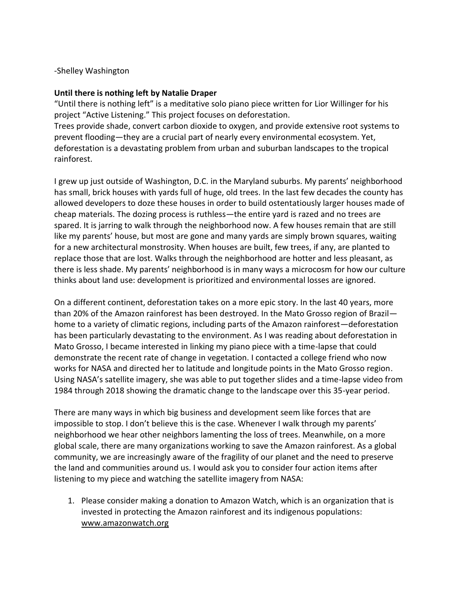#### -Shelley Washington

#### **Until there is nothing left by Natalie Draper**

"Until there is nothing left" is a meditative solo piano piece written for Lior Willinger for his project "Active Listening." This project focuses on deforestation. Trees provide shade, convert carbon dioxide to oxygen, and provide extensive root systems to prevent flooding—they are a crucial part of nearly every environmental ecosystem. Yet, deforestation is a devastating problem from urban and suburban landscapes to the tropical rainforest.

I grew up just outside of Washington, D.C. in the Maryland suburbs. My parents' neighborhood has small, brick houses with yards full of huge, old trees. In the last few decades the county has allowed developers to doze these houses in order to build ostentatiously larger houses made of cheap materials. The dozing process is ruthless—the entire yard is razed and no trees are spared. It is jarring to walk through the neighborhood now. A few houses remain that are still like my parents' house, but most are gone and many yards are simply brown squares, waiting for a new architectural monstrosity. When houses are built, few trees, if any, are planted to replace those that are lost. Walks through the neighborhood are hotter and less pleasant, as there is less shade. My parents' neighborhood is in many ways a microcosm for how our culture thinks about land use: development is prioritized and environmental losses are ignored.

On a different continent, deforestation takes on a more epic story. In the last 40 years, more than 20% of the Amazon rainforest has been destroyed. In the Mato Grosso region of Brazil home to a variety of climatic regions, including parts of the Amazon rainforest—deforestation has been particularly devastating to the environment. As I was reading about deforestation in Mato Grosso, I became interested in linking my piano piece with a time-lapse that could demonstrate the recent rate of change in vegetation. I contacted a college friend who now works for NASA and directed her to latitude and longitude points in the Mato Grosso region. Using NASA's satellite imagery, she was able to put together slides and a time-lapse video from 1984 through 2018 showing the dramatic change to the landscape over this 35-year period.

There are many ways in which big business and development seem like forces that are impossible to stop. I don't believe this is the case. Whenever I walk through my parents' neighborhood we hear other neighbors lamenting the loss of trees. Meanwhile, on a more global scale, there are many organizations working to save the Amazon rainforest. As a global community, we are increasingly aware of the fragility of our planet and the need to preserve the land and communities around us. I would ask you to consider four action items after listening to my piece and watching the satellite imagery from NASA:

1. Please consider making a donation to Amazon Watch, which is an organization that is invested in protecting the Amazon rainforest and its indigenous populations: [www.amazonwatch.org](http://www.amazonwatch.org/)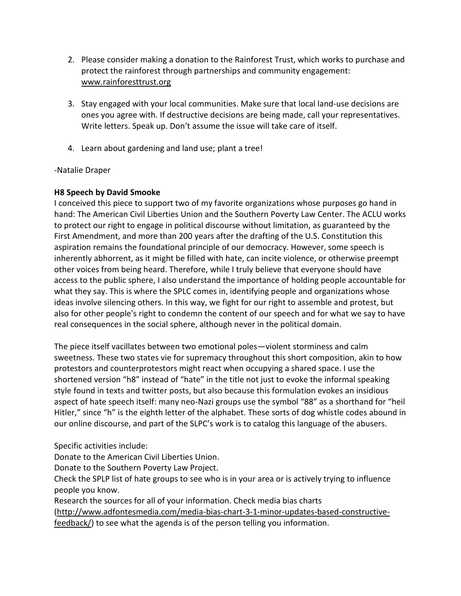- 2. Please consider making a donation to the Rainforest Trust, which works to purchase and protect the rainforest through partnerships and community engagement: [www.rainforesttrust.org](http://www.rainforesttrust.org/)
- 3. Stay engaged with your local communities. Make sure that local land-use decisions are ones you agree with. If destructive decisions are being made, call your representatives. Write letters. Speak up. Don't assume the issue will take care of itself.
- 4. Learn about gardening and land use; plant a tree!

# -Natalie Draper

# **H8 Speech by David Smooke**

I conceived this piece to support two of my favorite organizations whose purposes go hand in hand: The American Civil Liberties Union and the Southern Poverty Law Center. The ACLU works to protect our right to engage in political discourse without limitation, as guaranteed by the First Amendment, and more than 200 years after the drafting of the U.S. Constitution this aspiration remains the foundational principle of our democracy. However, some speech is inherently abhorrent, as it might be filled with hate, can incite violence, or otherwise preempt other voices from being heard. Therefore, while I truly believe that everyone should have access to the public sphere, I also understand the importance of holding people accountable for what they say. This is where the SPLC comes in, identifying people and organizations whose ideas involve silencing others. In this way, we fight for our right to assemble and protest, but also for other people's right to condemn the content of our speech and for what we say to have real consequences in the social sphere, although never in the political domain.

The piece itself vacillates between two emotional poles—violent storminess and calm sweetness. These two states vie for supremacy throughout this short composition, akin to how protestors and counterprotestors might react when occupying a shared space. I use the shortened version "h8" instead of "hate" in the title not just to evoke the informal speaking style found in texts and twitter posts, but also because this formulation evokes an insidious aspect of hate speech itself: many neo-Nazi groups use the symbol "88" as a shorthand for "heil Hitler," since "h" is the eighth letter of the alphabet. These sorts of dog whistle codes abound in our online discourse, and part of the SLPC's work is to catalog this language of the abusers.

Specific activities include:

Donate to the American Civil Liberties Union.

Donate to the Southern Poverty Law Project.

Check the SPLP list of hate groups to see who is in your area or is actively trying to influence people you know.

Research the sources for all of your information. Check media bias charts [\(http://www.adfontesmedia.com/media-bias-chart-3-1-minor-updates-based-constructive](http://www.adfontesmedia.com/media-bias-chart-3-1-minor-updates-based-constructive-feedback/)[feedback/\)](http://www.adfontesmedia.com/media-bias-chart-3-1-minor-updates-based-constructive-feedback/) to see what the agenda is of the person telling you information.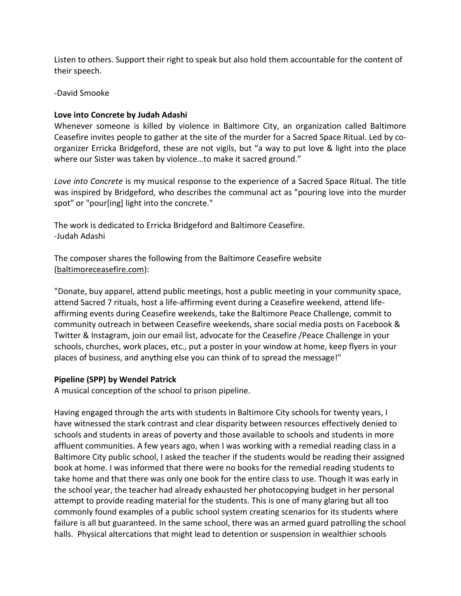Listen to others. Support their right to speak but also hold them accountable for the content of their speech.

-David Smooke

## **Love into Concrete by Judah Adashi**

Whenever someone is killed by violence in Baltimore City, an organization called Baltimore Ceasefire invites people to gather at the site of the murder for a Sacred Space Ritual. Led by coorganizer Erricka Bridgeford, these are not vigils, but "a way to put love & light into the place where our Sister was taken by violence…to make it sacred ground."

*Love into Concrete* is my musical response to the experience of a Sacred Space Ritual. The title was inspired by Bridgeford, who describes the communal act as "pouring love into the murder spot" or "pour[ing] light into the concrete."

The work is dedicated to Erricka Bridgeford and Baltimore Ceasefire. -Judah Adashi

The composer shares the following from the Baltimore Ceasefire website [\(baltimoreceasefire.com\)](http://baltimoreceasefire.com/):

"Donate, buy apparel, attend public meetings, host a public meeting in your community space, attend Sacred 7 rituals, host a life-affirming event during a Ceasefire weekend, attend lifeaffirming events during Ceasefire weekends, take the Baltimore Peace Challenge, commit to community outreach in between Ceasefire weekends, share social media posts on Facebook & Twitter & Instagram, join our email list, advocate for the Ceasefire /Peace Challenge in your schools, churches, work places, etc., put a poster in your window at home, keep flyers in your places of business, and anything else you can think of to spread the message!"

#### **Pipeline (SPP) by Wendel Patrick**

A musical conception of the school to prison pipeline.

Having engaged through the arts with students in Baltimore City schools for twenty years, I have witnessed the stark contrast and clear disparity between resources effectively denied to schools and students in areas of poverty and those available to schools and students in more affluent communities. A few years ago, when I was working with a remedial reading class in a Baltimore City public school, I asked the teacher if the students would be reading their assigned book at home. I was informed that there were no books for the remedial reading students to take home and that there was only one book for the entire class to use. Though it was early in the school year, the teacher had already exhausted her photocopying budget in her personal attempt to provide reading material for the students. This is one of many glaring but all too commonly found examples of a public school system creating scenarios for its students where failure is all but guaranteed. In the same school, there was an armed guard patrolling the school halls. Physical altercations that might lead to detention or suspension in wealthier schools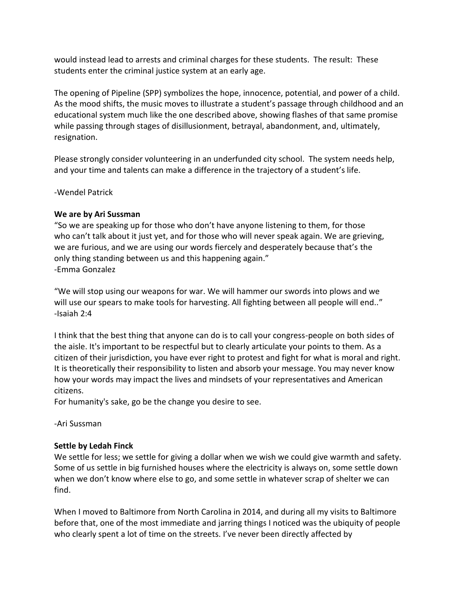would instead lead to arrests and criminal charges for these students. The result: These students enter the criminal justice system at an early age.

The opening of Pipeline (SPP) symbolizes the hope, innocence, potential, and power of a child. As the mood shifts, the music moves to illustrate a student's passage through childhood and an educational system much like the one described above, showing flashes of that same promise while passing through stages of disillusionment, betrayal, abandonment, and, ultimately, resignation.

Please strongly consider volunteering in an underfunded city school. The system needs help, and your time and talents can make a difference in the trajectory of a student's life.

-Wendel Patrick

## **We are by Ari Sussman**

"So we are speaking up for those who don't have anyone listening to them, for those who can't talk about it just yet, and for those who will never speak again. We are grieving, we are furious, and we are using our words fiercely and desperately because that's the only thing standing between us and this happening again." -Emma Gonzalez

"We will stop using our weapons for war. We will hammer our swords into plows and we will use our spears to make tools for harvesting. All fighting between all people will end.." -Isaiah 2:4

I think that the best thing that anyone can do is to call your congress-people on both sides of the aisle. It's important to be respectful but to clearly articulate your points to them. As a citizen of their jurisdiction, you have ever right to protest and fight for what is moral and right. It is theoretically their responsibility to listen and absorb your message. You may never know how your words may impact the lives and mindsets of your representatives and American citizens.

For humanity's sake, go be the change you desire to see.

-Ari Sussman

# **Settle by Ledah Finck**

We settle for less; we settle for giving a dollar when we wish we could give warmth and safety. Some of us settle in big furnished houses where the electricity is always on, some settle down when we don't know where else to go, and some settle in whatever scrap of shelter we can find.

When I moved to Baltimore from North Carolina in 2014, and during all my visits to Baltimore before that, one of the most immediate and jarring things I noticed was the ubiquity of people who clearly spent a lot of time on the streets. I've never been directly affected by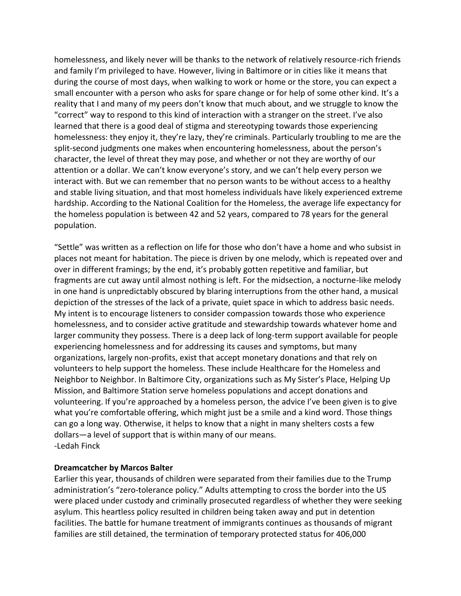homelessness, and likely never will be thanks to the network of relatively resource-rich friends and family I'm privileged to have. However, living in Baltimore or in cities like it means that during the course of most days, when walking to work or home or the store, you can expect a small encounter with a person who asks for spare change or for help of some other kind. It's a reality that I and many of my peers don't know that much about, and we struggle to know the "correct" way to respond to this kind of interaction with a stranger on the street. I've also learned that there is a good deal of stigma and stereotyping towards those experiencing homelessness: they enjoy it, they're lazy, they're criminals. Particularly troubling to me are the split-second judgments one makes when encountering homelessness, about the person's character, the level of threat they may pose, and whether or not they are worthy of our attention or a dollar. We can't know everyone's story, and we can't help every person we interact with. But we can remember that no person wants to be without access to a healthy and stable living situation, and that most homeless individuals have likely experienced extreme hardship. According to the National Coalition for the Homeless, the average life expectancy for the homeless population is between 42 and 52 years, compared to 78 years for the general population.

"Settle" was written as a reflection on life for those who don't have a home and who subsist in places not meant for habitation. The piece is driven by one melody, which is repeated over and over in different framings; by the end, it's probably gotten repetitive and familiar, but fragments are cut away until almost nothing is left. For the midsection, a nocturne-like melody in one hand is unpredictably obscured by blaring interruptions from the other hand, a musical depiction of the stresses of the lack of a private, quiet space in which to address basic needs. My intent is to encourage listeners to consider compassion towards those who experience homelessness, and to consider active gratitude and stewardship towards whatever home and larger community they possess. There is a deep lack of long-term support available for people experiencing homelessness and for addressing its causes and symptoms, but many organizations, largely non-profits, exist that accept monetary donations and that rely on volunteers to help support the homeless. These include Healthcare for the Homeless and Neighbor to Neighbor. In Baltimore City, organizations such as My Sister's Place, Helping Up Mission, and Baltimore Station serve homeless populations and accept donations and volunteering. If you're approached by a homeless person, the advice I've been given is to give what you're comfortable offering, which might just be a smile and a kind word. Those things can go a long way. Otherwise, it helps to know that a night in many shelters costs a few dollars—a level of support that is within many of our means. -Ledah Finck

# **Dreamcatcher by Marcos Balter**

Earlier this year, thousands of children were separated from their families due to the Trump administration's "zero-tolerance policy." Adults attempting to cross the border into the US were placed under custody and criminally prosecuted regardless of whether they were seeking asylum. This heartless policy resulted in children being taken away and put in detention facilities. The battle for humane treatment of immigrants continues as thousands of migrant families are still detained, the termination of temporary protected status for 406,000